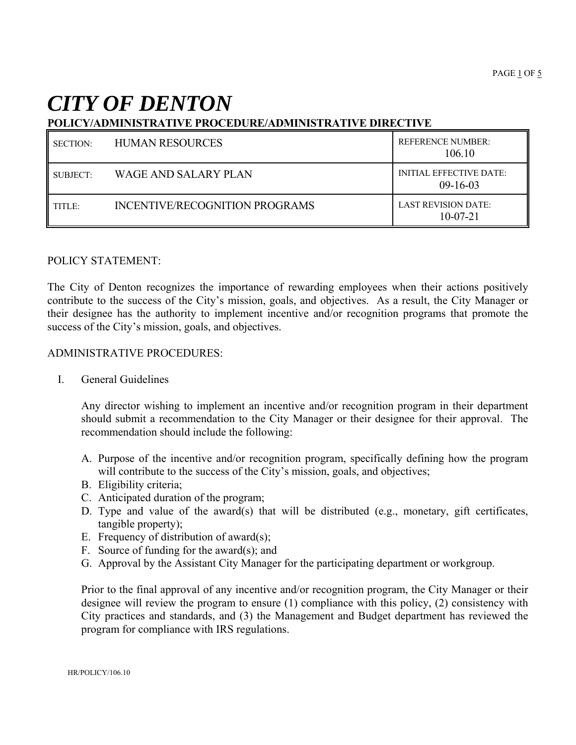# *CITY OF DENTON*

# **POLICY/ADMINISTRATIVE PROCEDURE/ADMINISTRATIVE DIRECTIVE**

| <b>SECTION:</b> | <b>HUMAN RESOURCES</b>         | <b>REFERENCE NUMBER:</b><br>106.10           |
|-----------------|--------------------------------|----------------------------------------------|
| SUBJECT:        | WAGE AND SALARY PLAN           | <b>INITIAL EFFECTIVE DATE:</b><br>$09-16-03$ |
| TITLE:          | INCENTIVE/RECOGNITION PROGRAMS | LAST REVISION DATE:<br>$10-07-21$            |

#### POLICY STATEMENT:

The City of Denton recognizes the importance of rewarding employees when their actions positively contribute to the success of the City's mission, goals, and objectives. As a result, the City Manager or their designee has the authority to implement incentive and/or recognition programs that promote the success of the City's mission, goals, and objectives.

#### ADMINISTRATIVE PROCEDURES:

I. General Guidelines

Any director wishing to implement an incentive and/or recognition program in their department should submit a recommendation to the City Manager or their designee for their approval. The recommendation should include the following:

- A. Purpose of the incentive and/or recognition program, specifically defining how the program will contribute to the success of the City's mission, goals, and objectives;
- B. Eligibility criteria;
- C. Anticipated duration of the program;
- D. Type and value of the award(s) that will be distributed (e.g., monetary, gift certificates, tangible property);
- E. Frequency of distribution of award(s);
- F. Source of funding for the award(s); and
- G. Approval by the Assistant City Manager for the participating department or workgroup.

Prior to the final approval of any incentive and/or recognition program, the City Manager or their designee will review the program to ensure (1) compliance with this policy, (2) consistency with City practices and standards, and (3) the Management and Budget department has reviewed the program for compliance with IRS regulations.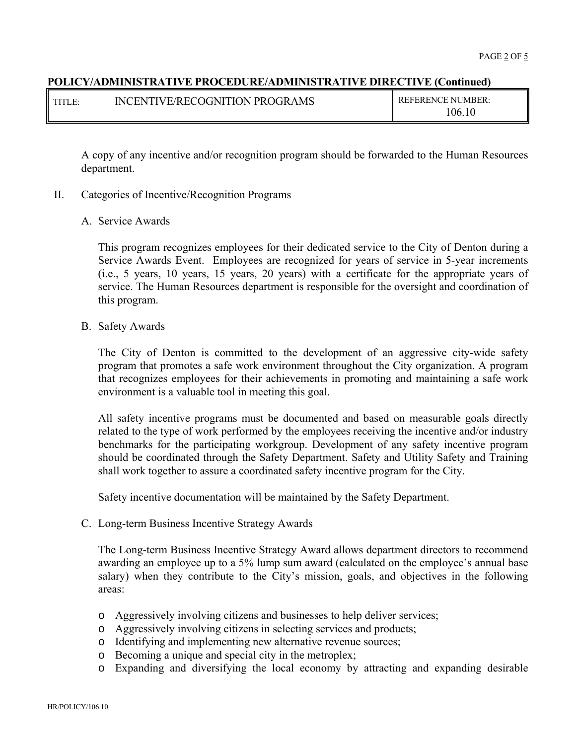| $\blacksquare$ titles | INCENTIVE/RECOGNITION PROGRAMS | <b>REFERENCE NUMBER:</b> |
|-----------------------|--------------------------------|--------------------------|
|                       |                                | 106.1                    |

A copy of any incentive and/or recognition program should be forwarded to the Human Resources department.

- II. Categories of Incentive/Recognition Programs
	- A. Service Awards

This program recognizes employees for their dedicated service to the City of Denton during a Service Awards Event. Employees are recognized for years of service in 5-year increments (i.e., 5 years, 10 years, 15 years, 20 years) with a certificate for the appropriate years of service. The Human Resources department is responsible for the oversight and coordination of this program.

B. Safety Awards

The City of Denton is committed to the development of an aggressive city-wide safety program that promotes a safe work environment throughout the City organization. A program that recognizes employees for their achievements in promoting and maintaining a safe work environment is a valuable tool in meeting this goal.

All safety incentive programs must be documented and based on measurable goals directly related to the type of work performed by the employees receiving the incentive and/or industry benchmarks for the participating workgroup. Development of any safety incentive program should be coordinated through the Safety Department. Safety and Utility Safety and Training shall work together to assure a coordinated safety incentive program for the City.

Safety incentive documentation will be maintained by the Safety Department.

C. Long-term Business Incentive Strategy Awards

The Long-term Business Incentive Strategy Award allows department directors to recommend awarding an employee up to a 5% lump sum award (calculated on the employee's annual base salary) when they contribute to the City's mission, goals, and objectives in the following areas:

- o Aggressively involving citizens and businesses to help deliver services;
- o Aggressively involving citizens in selecting services and products;
- o Identifying and implementing new alternative revenue sources;
- o Becoming a unique and special city in the metroplex;
- o Expanding and diversifying the local economy by attracting and expanding desirable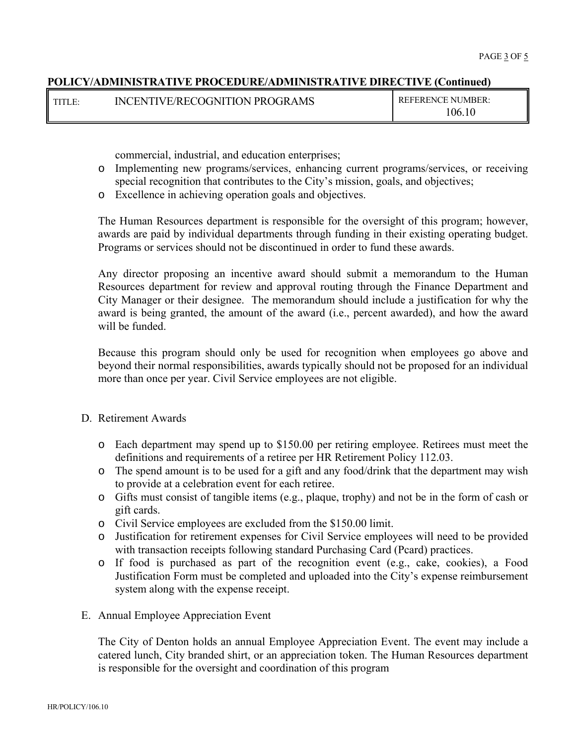| $\blacksquare$ TITI E | INCENTIVE/RECOGNITION PROGRAMS | <b>REFERENCE NUMBER:</b> |
|-----------------------|--------------------------------|--------------------------|
|                       |                                | 106.1                    |

commercial, industrial, and education enterprises;

- o Implementing new programs/services, enhancing current programs/services, or receiving special recognition that contributes to the City's mission, goals, and objectives;
- o Excellence in achieving operation goals and objectives.

The Human Resources department is responsible for the oversight of this program; however, awards are paid by individual departments through funding in their existing operating budget. Programs or services should not be discontinued in order to fund these awards.

Any director proposing an incentive award should submit a memorandum to the Human Resources department for review and approval routing through the Finance Department and City Manager or their designee. The memorandum should include a justification for why the award is being granted, the amount of the award (i.e., percent awarded), and how the award will be funded.

Because this program should only be used for recognition when employees go above and beyond their normal responsibilities, awards typically should not be proposed for an individual more than once per year. Civil Service employees are not eligible.

# D. Retirement Awards

- o Each department may spend up to \$150.00 per retiring employee. Retirees must meet the definitions and requirements of a retiree per HR Retirement Policy 112.03.
- o The spend amount is to be used for a gift and any food/drink that the department may wish to provide at a celebration event for each retiree.
- o Gifts must consist of tangible items (e.g., plaque, trophy) and not be in the form of cash or gift cards.
- o Civil Service employees are excluded from the \$150.00 limit.
- o Justification for retirement expenses for Civil Service employees will need to be provided with transaction receipts following standard Purchasing Card (Pcard) practices.
- o If food is purchased as part of the recognition event (e.g., cake, cookies), a Food Justification Form must be completed and uploaded into the City's expense reimbursement system along with the expense receipt.
- E. Annual Employee Appreciation Event

The City of Denton holds an annual Employee Appreciation Event. The event may include a catered lunch, City branded shirt, or an appreciation token. The Human Resources department is responsible for the oversight and coordination of this program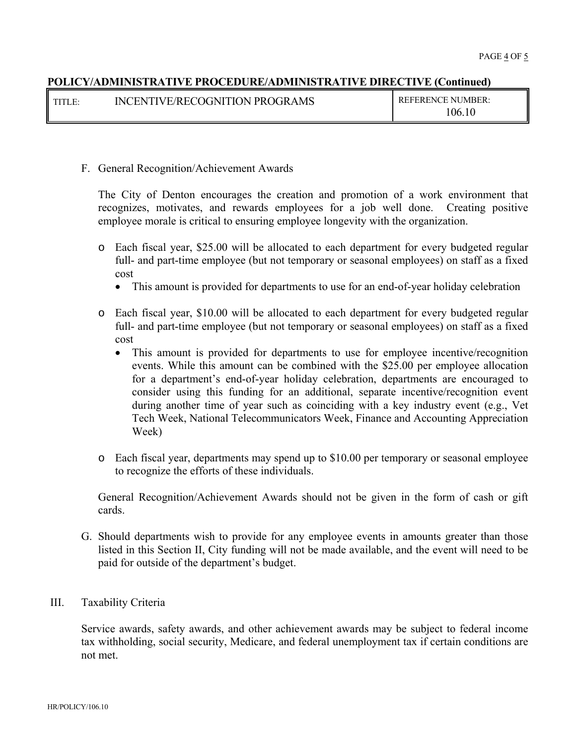| l titi e- | INCENTIVE/RECOGNITION PROGRAMS | <b>REFERENCE NUMBER:</b> |
|-----------|--------------------------------|--------------------------|
|           |                                | 106.10                   |

### F. General Recognition/Achievement Awards

The City of Denton encourages the creation and promotion of a work environment that recognizes, motivates, and rewards employees for a job well done. Creating positive employee morale is critical to ensuring employee longevity with the organization.

- o Each fiscal year, \$25.00 will be allocated to each department for every budgeted regular full- and part-time employee (but not temporary or seasonal employees) on staff as a fixed cost
	- This amount is provided for departments to use for an end-of-year holiday celebration
- o Each fiscal year, \$10.00 will be allocated to each department for every budgeted regular full- and part-time employee (but not temporary or seasonal employees) on staff as a fixed cost
	- This amount is provided for departments to use for employee incentive/recognition events. While this amount can be combined with the \$25.00 per employee allocation for a department's end-of-year holiday celebration, departments are encouraged to consider using this funding for an additional, separate incentive/recognition event during another time of year such as coinciding with a key industry event (e.g., Vet Tech Week, National Telecommunicators Week, Finance and Accounting Appreciation Week)
- o Each fiscal year, departments may spend up to \$10.00 per temporary or seasonal employee to recognize the efforts of these individuals.

General Recognition/Achievement Awards should not be given in the form of cash or gift cards.

G. Should departments wish to provide for any employee events in amounts greater than those listed in this Section II, City funding will not be made available, and the event will need to be paid for outside of the department's budget.

### III. Taxability Criteria

Service awards, safety awards, and other achievement awards may be subject to federal income tax withholding, social security, Medicare, and federal unemployment tax if certain conditions are not met.